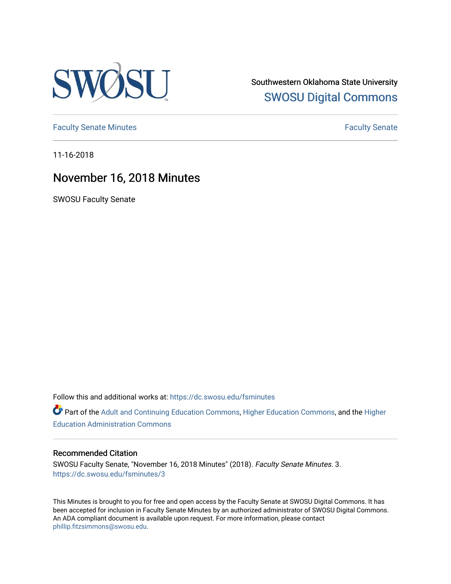

Southwestern Oklahoma State University [SWOSU Digital Commons](https://dc.swosu.edu/) 

[Faculty Senate Minutes](https://dc.swosu.edu/fsminutes) **Faculty** Senate Minutes

11-16-2018

## November 16, 2018 Minutes

SWOSU Faculty Senate

Follow this and additional works at: [https://dc.swosu.edu/fsminutes](https://dc.swosu.edu/fsminutes?utm_source=dc.swosu.edu%2Ffsminutes%2F3&utm_medium=PDF&utm_campaign=PDFCoverPages) 

Part of the [Adult and Continuing Education Commons,](http://network.bepress.com/hgg/discipline/1375?utm_source=dc.swosu.edu%2Ffsminutes%2F3&utm_medium=PDF&utm_campaign=PDFCoverPages) [Higher Education Commons,](http://network.bepress.com/hgg/discipline/1245?utm_source=dc.swosu.edu%2Ffsminutes%2F3&utm_medium=PDF&utm_campaign=PDFCoverPages) and the [Higher](http://network.bepress.com/hgg/discipline/791?utm_source=dc.swosu.edu%2Ffsminutes%2F3&utm_medium=PDF&utm_campaign=PDFCoverPages) [Education Administration Commons](http://network.bepress.com/hgg/discipline/791?utm_source=dc.swosu.edu%2Ffsminutes%2F3&utm_medium=PDF&utm_campaign=PDFCoverPages) 

#### Recommended Citation

SWOSU Faculty Senate, "November 16, 2018 Minutes" (2018). Faculty Senate Minutes. 3. [https://dc.swosu.edu/fsminutes/3](https://dc.swosu.edu/fsminutes/3?utm_source=dc.swosu.edu%2Ffsminutes%2F3&utm_medium=PDF&utm_campaign=PDFCoverPages)

This Minutes is brought to you for free and open access by the Faculty Senate at SWOSU Digital Commons. It has been accepted for inclusion in Faculty Senate Minutes by an authorized administrator of SWOSU Digital Commons. An ADA compliant document is available upon request. For more information, please contact [phillip.fitzsimmons@swosu.edu](mailto:phillip.fitzsimmons@swosu.edu).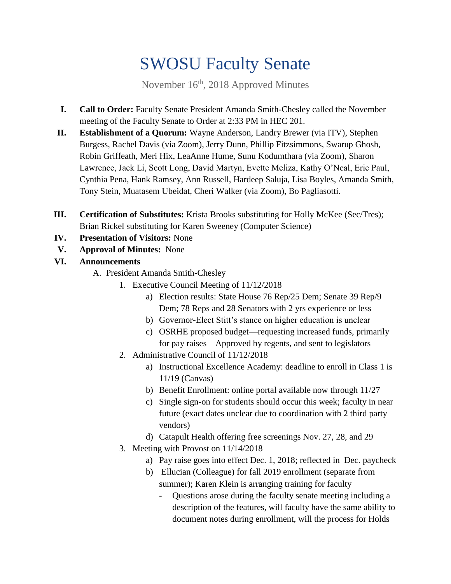# SWOSU Faculty Senate

November 16<sup>th</sup>, 2018 Approved Minutes

- **I. Call to Order:** Faculty Senate President Amanda Smith-Chesley called the November meeting of the Faculty Senate to Order at 2:33 PM in HEC 201.
- **II. Establishment of a Quorum:** Wayne Anderson, Landry Brewer (via ITV), Stephen Burgess, Rachel Davis (via Zoom), Jerry Dunn, Phillip Fitzsimmons, Swarup Ghosh, Robin Griffeath, Meri Hix, LeaAnne Hume, Sunu Kodumthara (via Zoom), Sharon Lawrence, Jack Li, Scott Long, David Martyn, Evette Meliza, Kathy O'Neal, Eric Paul, Cynthia Pena, Hank Ramsey, Ann Russell, Hardeep Saluja, Lisa Boyles, Amanda Smith, Tony Stein, Muatasem Ubeidat, Cheri Walker (via Zoom), Bo Pagliasotti.
- **III. Certification of Substitutes:** Krista Brooks substituting for Holly McKee (Sec/Tres); Brian Rickel substituting for Karen Sweeney (Computer Science)
- **IV. Presentation of Visitors:** None
- **V. Approval of Minutes:** None
- **VI. Announcements**
	- A. President Amanda Smith-Chesley
		- 1. Executive Council Meeting of 11/12/2018
			- a) Election results: State House 76 Rep/25 Dem; Senate 39 Rep/9 Dem; 78 Reps and 28 Senators with 2 yrs experience or less
			- b) Governor-Elect Stitt's stance on higher education is unclear
			- c) OSRHE proposed budget—requesting increased funds, primarily for pay raises – Approved by regents, and sent to legislators
		- 2. Administrative Council of 11/12/2018
			- a) Instructional Excellence Academy: deadline to enroll in Class 1 is 11/19 (Canvas)
			- b) Benefit Enrollment: online portal available now through 11/27
			- c) Single sign-on for students should occur this week; faculty in near future (exact dates unclear due to coordination with 2 third party vendors)
			- d) Catapult Health offering free screenings Nov. 27, 28, and 29
		- 3. Meeting with Provost on 11/14/2018
			- a) Pay raise goes into effect Dec. 1, 2018; reflected in Dec. paycheck
			- b) Ellucian (Colleague) for fall 2019 enrollment (separate from summer); Karen Klein is arranging training for faculty
				- Questions arose during the faculty senate meeting including a description of the features, will faculty have the same ability to document notes during enrollment, will the process for Holds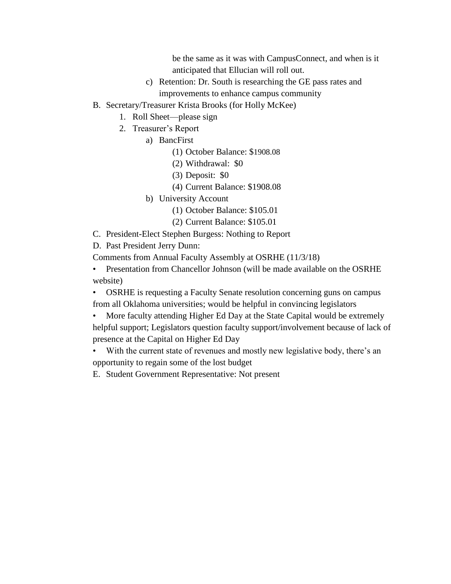be the same as it was with CampusConnect, and when is it anticipated that Ellucian will roll out.

- c) Retention: Dr. South is researching the GE pass rates and improvements to enhance campus community
- B. Secretary/Treasurer Krista Brooks (for Holly McKee)
	- 1. Roll Sheet—please sign
	- 2. Treasurer's Report
		- a) BancFirst
			- (1) October Balance: \$1908.08
			- (2) Withdrawal: \$0
			- (3) Deposit: \$0
			- (4) Current Balance: \$1908.08
		- b) University Account
			- (1) October Balance: \$105.01
			- (2) Current Balance: \$105.01
- C. President-Elect Stephen Burgess: Nothing to Report

D. Past President Jerry Dunn:

Comments from Annual Faculty Assembly at OSRHE (11/3/18)

• Presentation from Chancellor Johnson (will be made available on the OSRHE website)

• OSRHE is requesting a Faculty Senate resolution concerning guns on campus from all Oklahoma universities; would be helpful in convincing legislators

• More faculty attending Higher Ed Day at the State Capital would be extremely helpful support; Legislators question faculty support/involvement because of lack of presence at the Capital on Higher Ed Day

• With the current state of revenues and mostly new legislative body, there's an opportunity to regain some of the lost budget

E. Student Government Representative: Not present